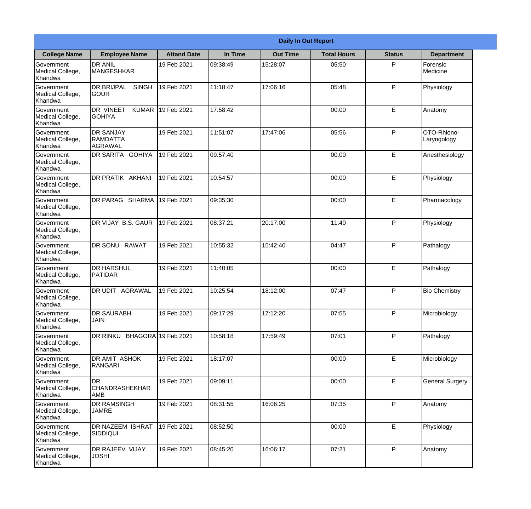|                                                  |                                                       |                    |          | <b>Daily In Out Report</b> |                    |               |                            |
|--------------------------------------------------|-------------------------------------------------------|--------------------|----------|----------------------------|--------------------|---------------|----------------------------|
| <b>College Name</b>                              | <b>Employee Name</b>                                  | <b>Attand Date</b> | In Time  | <b>Out Time</b>            | <b>Total Hours</b> | <b>Status</b> | <b>Department</b>          |
| Government<br>Medical College,<br>Khandwa        | <b>DR ANIL</b><br><b>MANGESHKAR</b>                   | 19 Feb 2021        | 09:38:49 | 15:28:07                   | 05:50              | P             | Forensic<br>Medicine       |
| Government<br>Medical College,<br>Khandwa        | <b>DR BRIJPAL</b><br><b>SINGH</b><br> GOUR            | 19 Feb 2021        | 11:18:47 | 17:06:16                   | 05:48              | P             | Physiology                 |
| <b>Government</b><br>Medical College,<br>Khandwa | <b>DR VINEET</b><br><b>KUMAR</b><br><b>I</b> GOHIYA   | 19 Feb 2021        | 17:58:42 |                            | 00:00              | E             | Anatomy                    |
| Government<br>Medical College,<br>Khandwa        | <b>DR SANJAY</b><br><b>RAMDATTA</b><br><b>AGRAWAL</b> | 19 Feb 2021        | 11:51:07 | 17:47:06                   | 05:56              | P             | OTO-Rhiono-<br>Laryngology |
| Government<br>Medical College,<br>Khandwa        | <b>DR SARITA GOHIYA</b>                               | 19 Feb 2021        | 09:57:40 |                            | 00:00              | E             | Anesthesiology             |
| Government<br>Medical College,<br>Khandwa        | DR PRATIK AKHANI                                      | 19 Feb 2021        | 10:54:57 |                            | 00:00              | E             | Physiology                 |
| Government<br>Medical College,<br>Khandwa        | DR PARAG SHARMA                                       | 19 Feb 2021        | 09:35:30 |                            | 00:00              | E             | Pharmacology               |
| Government<br>Medical College,<br>Khandwa        | DR VIJAY B.S. GAUR                                    | 19 Feb 2021        | 08:37:21 | 20:17:00                   | 11:40              | P             | Physiology                 |
| Government<br>Medical College,<br>Khandwa        | <b>DR SONU</b><br><b>RAWAT</b>                        | 19 Feb 2021        | 10:55:32 | 15:42:40                   | 04:47              | P             | Pathalogy                  |
| Government<br>Medical College,<br>Khandwa        | <b>DR HARSHUL</b><br>PATIDAR                          | 19 Feb 2021        | 11:40:05 |                            | 00:00              | E             | Pathalogy                  |
| Government<br>Medical College,<br>Khandwa        | IDR UDIT<br><b>AGRAWAL</b>                            | 19 Feb 2021        | 10:25:54 | 18:12:00                   | 07:47              | $\mathsf{P}$  | <b>Bio Chemistry</b>       |
| Government<br>Medical College,<br>Khandwa        | <b>DR SAURABH</b><br><b>JAIN</b>                      | 19 Feb 2021        | 09:17:29 | 17:12:20                   | 07:55              | P             | Microbiology               |
| Government<br>Medical College,<br>Khandwa        | DR RINKU BHAGORA 19 Feb 2021                          |                    | 10:58:18 | 17:59:49                   | 07:01              | P             | Pathalogy                  |
| Government<br>Medical College,<br>Khandwa        | <b>DR AMIT ASHOK</b><br>RANGARI                       | 19 Feb 2021        | 18:17:07 |                            | 00:00              | E             | Microbiology               |
| Government<br>Medical College,<br>Khandwa        | <b>DR</b><br> CHANDRASHEKHAR<br><b>AMB</b>            | 19 Feb 2021        | 09:09:11 |                            | 00:00              | E             | <b>General Surgery</b>     |
| Government<br>Medical College,<br>Khandwa        | <b>DR RAMSINGH</b><br><b>JAMRE</b>                    | 19 Feb 2021        | 08:31:55 | 16:06:25                   | 07:35              | P             | Anatomy                    |
| Government<br>Medical College,<br>Khandwa        | <b>DR NAZEEM ISHRAT</b><br><b>SIDDIQUI</b>            | 19 Feb 2021        | 08:52:50 |                            | 00:00              | E             | Physiology                 |
| Government<br>Medical College,<br>Khandwa        | <b>DR RAJEEV VIJAY</b><br><b>JOSHI</b>                | 19 Feb 2021        | 08:45:20 | 16:06:17                   | 07:21              | P             | Anatomy                    |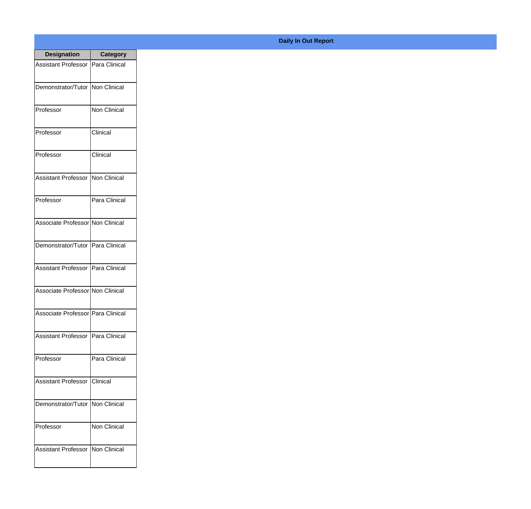| <b>Designation</b>                  | <b>Category</b>     |
|-------------------------------------|---------------------|
| <b>Assistant Professor</b>          | Para Clinical       |
| Demonstrator/Tutor                  | Non Clinical        |
| Professor                           | <b>Non Clinical</b> |
| Professor                           | Clinical            |
| Professor                           | Clinical            |
| <b>Assistant Professor</b>          | Non Clinical        |
| Professor                           | Para Clinical       |
| Associate Professor Non Clinical    |                     |
| Demonstrator/Tutor                  | Para Clinical       |
| <b>Assistant Professor</b>          | Para Clinical       |
| Associate Professor Non Clinical    |                     |
| Associate Professor   Para Clinical |                     |
| <b>Assistant Professor</b>          | Para Clinical       |
| Professor                           | Para Clinical       |
| <b>Assistant Professor</b>          | Clinical            |
| Demonstrator/Tutor   Non Clinical   |                     |
| Professor                           | <b>Non Clinical</b> |
| <b>Assistant Professor</b>          | Non Clinical        |

**Daily In Out Report**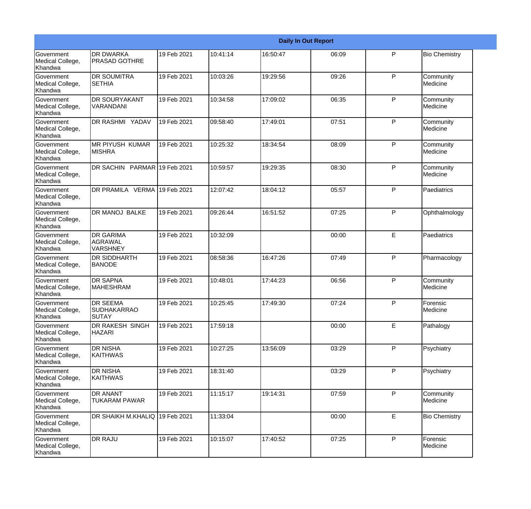|                                                  |                                                |             |          |          | <b>Daily In Out Report</b> |   |                       |
|--------------------------------------------------|------------------------------------------------|-------------|----------|----------|----------------------------|---|-----------------------|
| Government<br>Medical College,<br>Khandwa        | <b>DR DWARKA</b><br><b>PRASAD GOTHRE</b>       | 19 Feb 2021 | 10:41:14 | 16:50:47 | 06:09                      | P | <b>Bio Chemistry</b>  |
| Government<br>Medical College,<br>Khandwa        | <b>DR SOUMITRA</b><br><b>SETHIA</b>            | 19 Feb 2021 | 10:03:26 | 19:29:56 | 09:26                      | P | Community<br>Medicine |
| Government<br>Medical College,<br>Khandwa        | <b>DR SOURYAKANT</b><br>VARANDANI              | 19 Feb 2021 | 10:34:58 | 17:09:02 | 06:35                      | P | Community<br>Medicine |
| Government<br>Medical College,<br>Khandwa        | DR RASHMI YADAV                                | 19 Feb 2021 | 09:58:40 | 17:49:01 | 07:51                      | P | Community<br>Medicine |
| <b>Government</b><br>Medical College,<br>Khandwa | <b>IMR PIYUSH KUMAR</b><br><b>MISHRA</b>       | 19 Feb 2021 | 10:25:32 | 18:34:54 | 08:09                      | P | Community<br>Medicine |
| Government<br>Medical College,<br>Khandwa        | DR SACHIN PARMAR 19 Feb 2021                   |             | 10:59:57 | 19:29:35 | 08:30                      | P | Community<br>Medicine |
| <b>Government</b><br>Medical College,<br>Khandwa | DR PRAMILA VERMA 19 Feb 2021                   |             | 12:07:42 | 18:04:12 | 05:57                      | P | Paediatrics           |
| Government<br>Medical College,<br>Khandwa        | <b>DR MANOJ BALKE</b>                          | 19 Feb 2021 | 09:26:44 | 16:51:52 | 07:25                      | P | Ophthalmology         |
| <b>Government</b><br>Medical College,<br>Khandwa | <b>DR GARIMA</b><br>AGRAWAL<br>VARSHNEY        | 19 Feb 2021 | 10:32:09 |          | 00:00                      | E | Paediatrics           |
| <b>Government</b><br>Medical College,<br>Khandwa | <b>DR SIDDHARTH</b><br><b>BANODE</b>           | 19 Feb 2021 | 08:58:36 | 16:47:26 | 07:49                      | P | Pharmacology          |
| Government<br>Medical College,<br>Khandwa        | <b>DR SAPNA</b><br><b>MAHESHRAM</b>            | 19 Feb 2021 | 10:48:01 | 17:44:23 | 06:56                      | P | Community<br>Medicine |
| Government<br>Medical College,<br>Khandwa        | <b>DR SEEMA</b><br><b>SUDHAKARRAO</b><br>SUTAY | 19 Feb 2021 | 10:25:45 | 17:49:30 | 07:24                      | P | Forensic<br>Medicine  |
| Government<br>Medical College,<br>Khandwa        | DR RAKESH SINGH<br><b>HAZARI</b>               | 19 Feb 2021 | 17:59:18 |          | 00:00                      | E | Pathalogy             |
| Government<br>Medical College,<br>Khandwa        | <b>DR NISHA</b><br><b>KAITHWAS</b>             | 19 Feb 2021 | 10:27:25 | 13:56:09 | 03:29                      | P | Psychiatry            |
| Government<br>Medical College,<br>Khandwa        | <b>DR NISHA</b><br><b>KAITHWAS</b>             | 19 Feb 2021 | 18:31:40 |          | 03:29                      | P | Psychiatry            |
| Government<br>Medical College,<br>Khandwa        | <b>DR ANANT</b><br><b>TUKARAM PAWAR</b>        | 19 Feb 2021 | 11:15:17 | 19:14:31 | 07:59                      | P | Community<br>Medicine |
| Government<br>Medical College,<br>Khandwa        | DR SHAIKH M.KHALIQ                             | 19 Feb 2021 | 11:33:04 |          | 00:00                      | E | <b>Bio Chemistry</b>  |
| Government<br>Medical College,<br>Khandwa        | <b>DR RAJU</b>                                 | 19 Feb 2021 | 10:15:07 | 17:40:52 | 07:25                      | P | Forensic<br>Medicine  |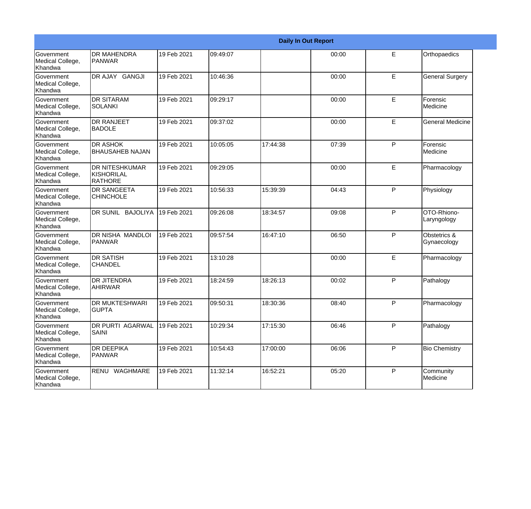|                                                  |                                                       |             |          |          | <b>Daily In Out Report</b> |   |                             |
|--------------------------------------------------|-------------------------------------------------------|-------------|----------|----------|----------------------------|---|-----------------------------|
| Government<br>Medical College,<br>Khandwa        | <b>DR MAHENDRA</b><br>PANWAR                          | 19 Feb 2021 | 09:49:07 |          | 00:00                      | E | Orthopaedics                |
| Government<br>Medical College,<br>Khandwa        | DR AJAY GANGJI                                        | 19 Feb 2021 | 10:46:36 |          | 00:00                      | E | <b>General Surgery</b>      |
| <b>Government</b><br>Medical College,<br>Khandwa | <b>DR SITARAM</b><br>SOLANKI                          | 19 Feb 2021 | 09:29:17 |          | 00:00                      | E | Forensic<br>Medicine        |
| Government<br>Medical College,<br>Khandwa        | <b>DR RANJEET</b><br><b>BADOLE</b>                    | 19 Feb 2021 | 09:37:02 |          | 00:00                      | E | <b>General Medicine</b>     |
| Government<br>Medical College,<br>Khandwa        | <b>DR ASHOK</b><br><b>BHAUSAHEB NAJAN</b>             | 19 Feb 2021 | 10:05:05 | 17:44:38 | 07:39                      | P | Forensic<br>Medicine        |
| Government<br>Medical College,<br>Khandwa        | <b>DR NITESHKUMAR</b><br>KISHORILAL<br><b>RATHORE</b> | 19 Feb 2021 | 09:29:05 |          | 00:00                      | E | Pharmacology                |
| Government<br>Medical College,<br>Khandwa        | <b>DR SANGEETA</b><br><b>CHINCHOLE</b>                | 19 Feb 2021 | 10:56:33 | 15:39:39 | 04:43                      | P | Physiology                  |
| Government<br>Medical College,<br>Khandwa        | DR SUNIL BAJOLIYA                                     | 19 Feb 2021 | 09:26:08 | 18:34:57 | 09:08                      | P | OTO-Rhiono-<br>Laryngology  |
| Government<br>Medical College,<br>Khandwa        | DR NISHA MANDLOI<br><b>PANWAR</b>                     | 19 Feb 2021 | 09:57:54 | 16:47:10 | 06:50                      | P | Obstetrics &<br>Gynaecology |
| Government<br>Medical College,<br>Khandwa        | <b>DR SATISH</b><br><b>CHANDEL</b>                    | 19 Feb 2021 | 13:10:28 |          | 00:00                      | E | Pharmacology                |
| Government<br>Medical College,<br>Khandwa        | <b>DR JITENDRA</b><br><b>AHIRWAR</b>                  | 19 Feb 2021 | 18:24:59 | 18:26:13 | 00:02                      | P | Pathalogy                   |
| Government<br>Medical College,<br>Khandwa        | <b>DR MUKTESHWARI</b><br>IGUPTA                       | 19 Feb 2021 | 09:50:31 | 18:30:36 | 08:40                      | P | Pharmacology                |
| Government<br>Medical College,<br>Khandwa        | DR PURTI AGARWAL<br><b>SAINI</b>                      | 19 Feb 2021 | 10:29:34 | 17:15:30 | 06:46                      | P | Pathalogy                   |
| Government<br>Medical College,<br>Khandwa        | <b>DR DEEPIKA</b><br>PANWAR                           | 19 Feb 2021 | 10:54:43 | 17:00:00 | 06:06                      | P | <b>Bio Chemistry</b>        |
| Government<br>Medical College,<br>Khandwa        | RENU WAGHMARE                                         | 19 Feb 2021 | 11:32:14 | 16:52:21 | 05:20                      | P | Community<br>Medicine       |